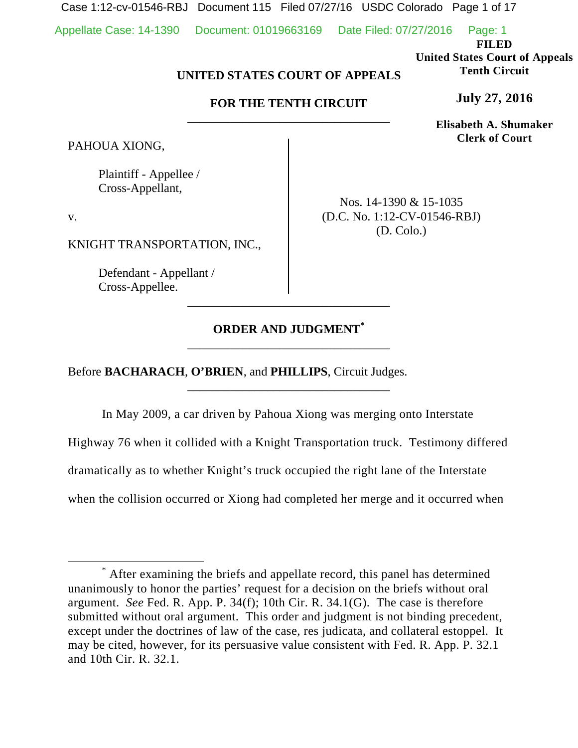Case 1:12-cv-01546-RBJ Document 115 Filed 07/27/16 USDC Colorado Page 1 of 17

Appellate Case: 14-1390 Document: 01019663169 Date Filed: 07/27/2016 Page: 1

**FILED** 

**United States Court of Appeals Tenth Circuit** 

**July 27, 2016**

**Elisabeth A. Shumaker Clerk of Court**

# **UNITED STATES COURT OF APPEALS**

# **FOR THE TENTH CIRCUIT**  \_\_\_\_\_\_\_\_\_\_\_\_\_\_\_\_\_\_\_\_\_\_\_\_\_\_\_\_\_\_\_\_\_

PAHOUA XIONG,

 Plaintiff - Appellee / Cross-Appellant,

v.

KNIGHT TRANSPORTATION, INC.,

 Defendant - Appellant / Cross-Appellee.

Nos. 14-1390 & 15-1035 (D.C. No. 1:12-CV-01546-RBJ) (D. Colo.)

# **ORDER AND JUDGMENT\*** \_\_\_\_\_\_\_\_\_\_\_\_\_\_\_\_\_\_\_\_\_\_\_\_\_\_\_\_\_\_\_\_\_

\_\_\_\_\_\_\_\_\_\_\_\_\_\_\_\_\_\_\_\_\_\_\_\_\_\_\_\_\_\_\_\_\_

\_\_\_\_\_\_\_\_\_\_\_\_\_\_\_\_\_\_\_\_\_\_\_\_\_\_\_\_\_\_\_\_\_

Before **BACHARACH**, **O'BRIEN**, and **PHILLIPS**, Circuit Judges.

In May 2009, a car driven by Pahoua Xiong was merging onto Interstate Highway 76 when it collided with a Knight Transportation truck. Testimony differed dramatically as to whether Knight's truck occupied the right lane of the Interstate when the collision occurred or Xiong had completed her merge and it occurred when

 $\overline{\phantom{a}}$  After examining the briefs and appellate record, this panel has determined unanimously to honor the parties' request for a decision on the briefs without oral argument. *See* Fed. R. App. P. 34(f); 10th Cir. R. 34.1(G). The case is therefore submitted without oral argument. This order and judgment is not binding precedent, except under the doctrines of law of the case, res judicata, and collateral estoppel. It may be cited, however, for its persuasive value consistent with Fed. R. App. P. 32.1 and 10th Cir. R. 32.1.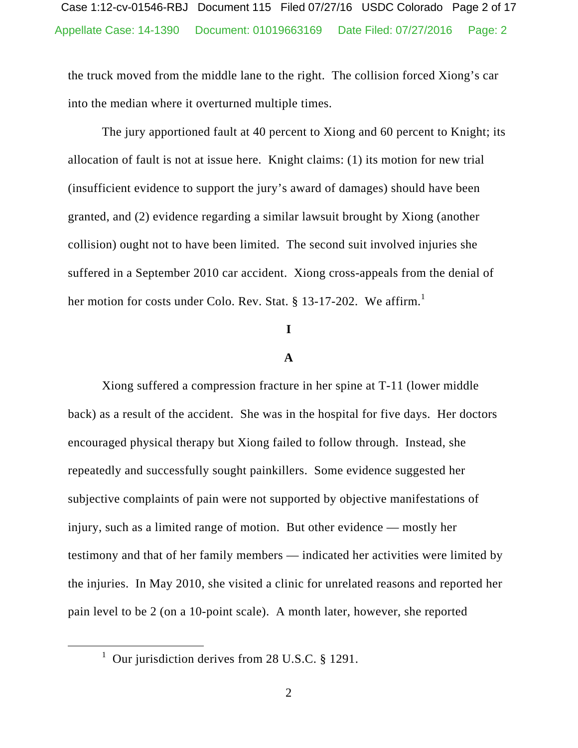the truck moved from the middle lane to the right. The collision forced Xiong's car into the median where it overturned multiple times.

The jury apportioned fault at 40 percent to Xiong and 60 percent to Knight; its allocation of fault is not at issue here. Knight claims: (1) its motion for new trial (insufficient evidence to support the jury's award of damages) should have been granted, and (2) evidence regarding a similar lawsuit brought by Xiong (another collision) ought not to have been limited. The second suit involved injuries she suffered in a September 2010 car accident. Xiong cross-appeals from the denial of her motion for costs under Colo. Rev. Stat. § 13-17-202. We affirm.<sup>1</sup>

## **I**

### **A**

Xiong suffered a compression fracture in her spine at T-11 (lower middle back) as a result of the accident. She was in the hospital for five days. Her doctors encouraged physical therapy but Xiong failed to follow through. Instead, she repeatedly and successfully sought painkillers. Some evidence suggested her subjective complaints of pain were not supported by objective manifestations of injury, such as a limited range of motion. But other evidence — mostly her testimony and that of her family members — indicated her activities were limited by the injuries. In May 2010, she visited a clinic for unrelated reasons and reported her pain level to be 2 (on a 10-point scale). A month later, however, she reported

<sup>&</sup>lt;u>1</u> <sup>1</sup> Our jurisdiction derives from 28 U.S.C. § 1291.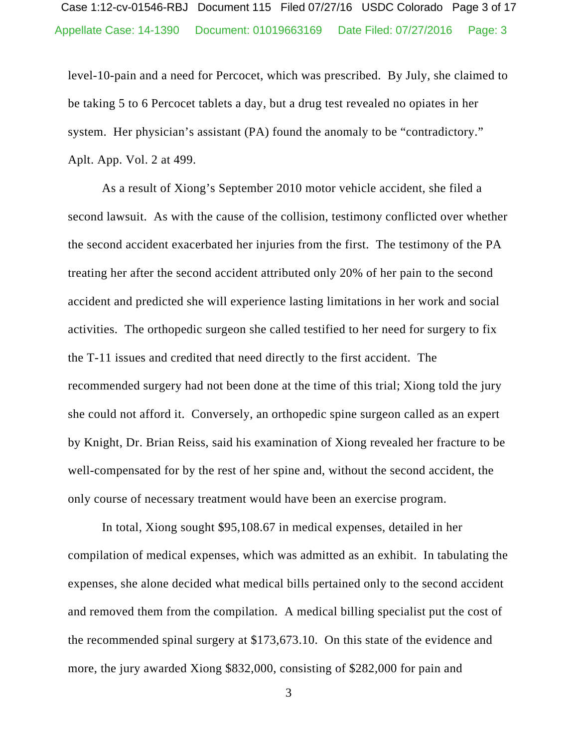# Appellate Case: 14-1390 Document: 01019663169 Date Filed: 07/27/2016 Page: 3 Case 1:12-cv-01546-RBJ Document 115 Filed 07/27/16 USDC Colorado Page 3 of 17

level-10-pain and a need for Percocet, which was prescribed. By July, she claimed to be taking 5 to 6 Percocet tablets a day, but a drug test revealed no opiates in her system. Her physician's assistant (PA) found the anomaly to be "contradictory." Aplt. App. Vol. 2 at 499.

As a result of Xiong's September 2010 motor vehicle accident, she filed a second lawsuit. As with the cause of the collision, testimony conflicted over whether the second accident exacerbated her injuries from the first. The testimony of the PA treating her after the second accident attributed only 20% of her pain to the second accident and predicted she will experience lasting limitations in her work and social activities. The orthopedic surgeon she called testified to her need for surgery to fix the T-11 issues and credited that need directly to the first accident. The recommended surgery had not been done at the time of this trial; Xiong told the jury she could not afford it. Conversely, an orthopedic spine surgeon called as an expert by Knight, Dr. Brian Reiss, said his examination of Xiong revealed her fracture to be well-compensated for by the rest of her spine and, without the second accident, the only course of necessary treatment would have been an exercise program.

In total, Xiong sought \$95,108.67 in medical expenses, detailed in her compilation of medical expenses, which was admitted as an exhibit. In tabulating the expenses, she alone decided what medical bills pertained only to the second accident and removed them from the compilation. A medical billing specialist put the cost of the recommended spinal surgery at \$173,673.10. On this state of the evidence and more, the jury awarded Xiong \$832,000, consisting of \$282,000 for pain and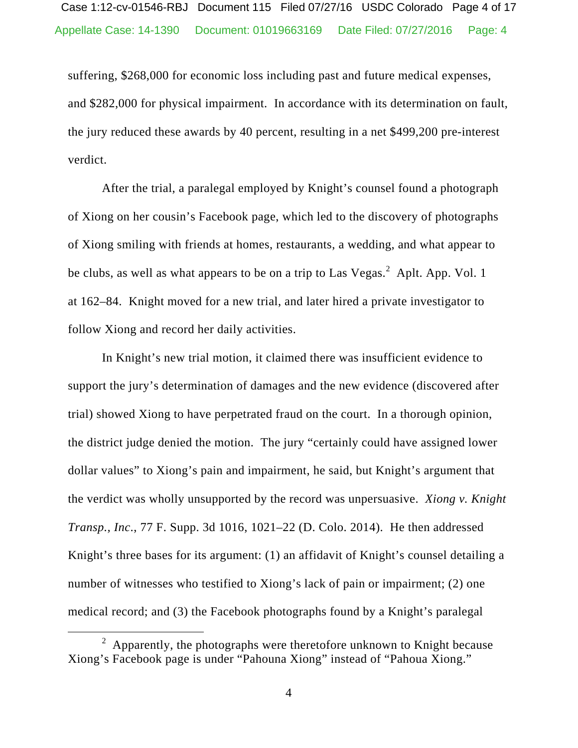suffering, \$268,000 for economic loss including past and future medical expenses, and \$282,000 for physical impairment. In accordance with its determination on fault, the jury reduced these awards by 40 percent, resulting in a net \$499,200 pre-interest verdict.

After the trial, a paralegal employed by Knight's counsel found a photograph of Xiong on her cousin's Facebook page, which led to the discovery of photographs of Xiong smiling with friends at homes, restaurants, a wedding, and what appear to be clubs, as well as what appears to be on a trip to Las Vegas. $^2$  Aplt. App. Vol. 1 at 162–84. Knight moved for a new trial, and later hired a private investigator to follow Xiong and record her daily activities.

In Knight's new trial motion, it claimed there was insufficient evidence to support the jury's determination of damages and the new evidence (discovered after trial) showed Xiong to have perpetrated fraud on the court. In a thorough opinion, the district judge denied the motion. The jury "certainly could have assigned lower dollar values" to Xiong's pain and impairment, he said, but Knight's argument that the verdict was wholly unsupported by the record was unpersuasive. *Xiong v. Knight Transp., Inc*., 77 F. Supp. 3d 1016, 1021–22 (D. Colo. 2014). He then addressed Knight's three bases for its argument: (1) an affidavit of Knight's counsel detailing a number of witnesses who testified to Xiong's lack of pain or impairment; (2) one medical record; and (3) the Facebook photographs found by a Knight's paralegal

 $\frac{1}{2}$  $\alpha$  Apparently, the photographs were theretofore unknown to Knight because Xiong's Facebook page is under "Pahouna Xiong" instead of "Pahoua Xiong."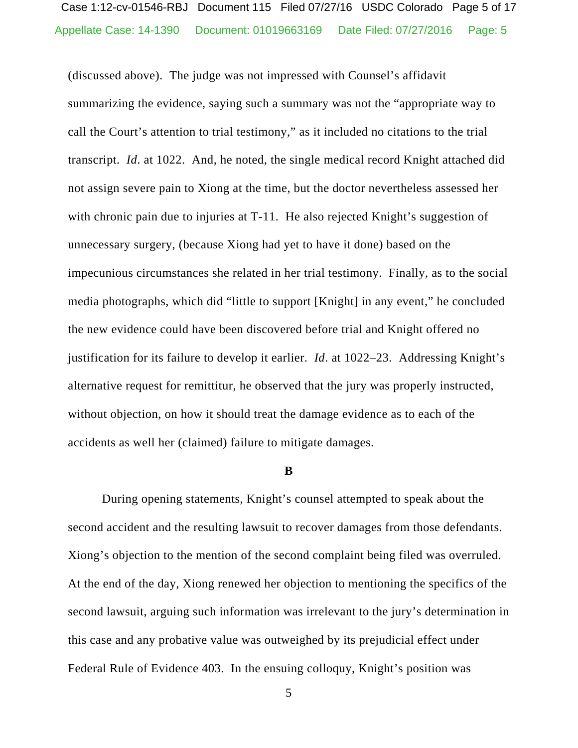# Appellate Case: 14-1390 Document: 01019663169 Date Filed: 07/27/2016 Page: 5 Case 1:12-cv-01546-RBJ Document 115 Filed 07/27/16 USDC Colorado Page 5 of 17

(discussed above). The judge was not impressed with Counsel's affidavit summarizing the evidence, saying such a summary was not the "appropriate way to call the Court's attention to trial testimony," as it included no citations to the trial transcript. *Id*. at 1022. And, he noted, the single medical record Knight attached did not assign severe pain to Xiong at the time, but the doctor nevertheless assessed her with chronic pain due to injuries at T-11. He also rejected Knight's suggestion of unnecessary surgery, (because Xiong had yet to have it done) based on the impecunious circumstances she related in her trial testimony. Finally, as to the social media photographs, which did "little to support [Knight] in any event," he concluded the new evidence could have been discovered before trial and Knight offered no justification for its failure to develop it earlier. *Id*. at 1022–23. Addressing Knight's alternative request for remittitur, he observed that the jury was properly instructed, without objection, on how it should treat the damage evidence as to each of the accidents as well her (claimed) failure to mitigate damages.

#### **B**

During opening statements, Knight's counsel attempted to speak about the second accident and the resulting lawsuit to recover damages from those defendants. Xiong's objection to the mention of the second complaint being filed was overruled. At the end of the day, Xiong renewed her objection to mentioning the specifics of the second lawsuit, arguing such information was irrelevant to the jury's determination in this case and any probative value was outweighed by its prejudicial effect under Federal Rule of Evidence 403. In the ensuing colloquy, Knight's position was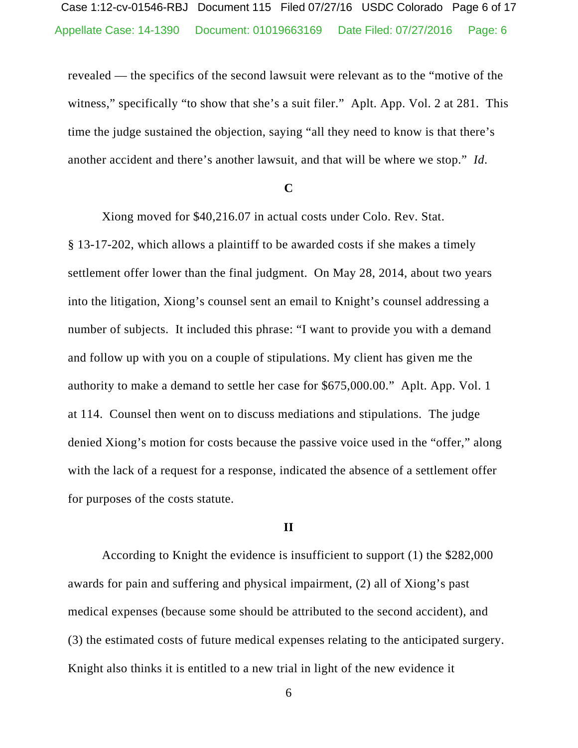revealed — the specifics of the second lawsuit were relevant as to the "motive of the witness," specifically "to show that she's a suit filer." Aplt. App. Vol. 2 at 281. This time the judge sustained the objection, saying "all they need to know is that there's another accident and there's another lawsuit, and that will be where we stop." *Id*.

#### **C**

Xiong moved for \$40,216.07 in actual costs under Colo. Rev. Stat. § 13-17-202, which allows a plaintiff to be awarded costs if she makes a timely settlement offer lower than the final judgment. On May 28, 2014, about two years into the litigation, Xiong's counsel sent an email to Knight's counsel addressing a number of subjects. It included this phrase: "I want to provide you with a demand and follow up with you on a couple of stipulations. My client has given me the authority to make a demand to settle her case for \$675,000.00." Aplt. App. Vol. 1 at 114. Counsel then went on to discuss mediations and stipulations. The judge denied Xiong's motion for costs because the passive voice used in the "offer," along with the lack of a request for a response, indicated the absence of a settlement offer for purposes of the costs statute.

#### **II**

According to Knight the evidence is insufficient to support (1) the \$282,000 awards for pain and suffering and physical impairment, (2) all of Xiong's past medical expenses (because some should be attributed to the second accident), and (3) the estimated costs of future medical expenses relating to the anticipated surgery. Knight also thinks it is entitled to a new trial in light of the new evidence it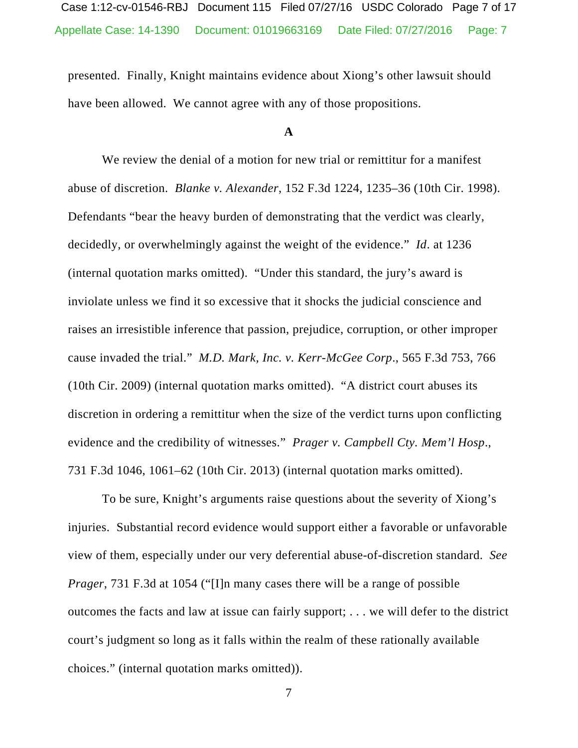presented. Finally, Knight maintains evidence about Xiong's other lawsuit should have been allowed. We cannot agree with any of those propositions.

### **A**

We review the denial of a motion for new trial or remittitur for a manifest abuse of discretion. *Blanke v. Alexander*, 152 F.3d 1224, 1235–36 (10th Cir. 1998). Defendants "bear the heavy burden of demonstrating that the verdict was clearly, decidedly, or overwhelmingly against the weight of the evidence." *Id*. at 1236 (internal quotation marks omitted). "Under this standard, the jury's award is inviolate unless we find it so excessive that it shocks the judicial conscience and raises an irresistible inference that passion, prejudice, corruption, or other improper cause invaded the trial." *M.D. Mark, Inc. v. Kerr-McGee Corp*., 565 F.3d 753, 766 (10th Cir. 2009) (internal quotation marks omitted). "A district court abuses its discretion in ordering a remittitur when the size of the verdict turns upon conflicting evidence and the credibility of witnesses." *Prager v. Campbell Cty. Mem'l Hosp*., 731 F.3d 1046, 1061–62 (10th Cir. 2013) (internal quotation marks omitted).

 To be sure, Knight's arguments raise questions about the severity of Xiong's injuries. Substantial record evidence would support either a favorable or unfavorable view of them, especially under our very deferential abuse-of-discretion standard. *See Prager*, 731 F.3d at 1054 ("[I]n many cases there will be a range of possible outcomes the facts and law at issue can fairly support; . . . we will defer to the district court's judgment so long as it falls within the realm of these rationally available choices." (internal quotation marks omitted)).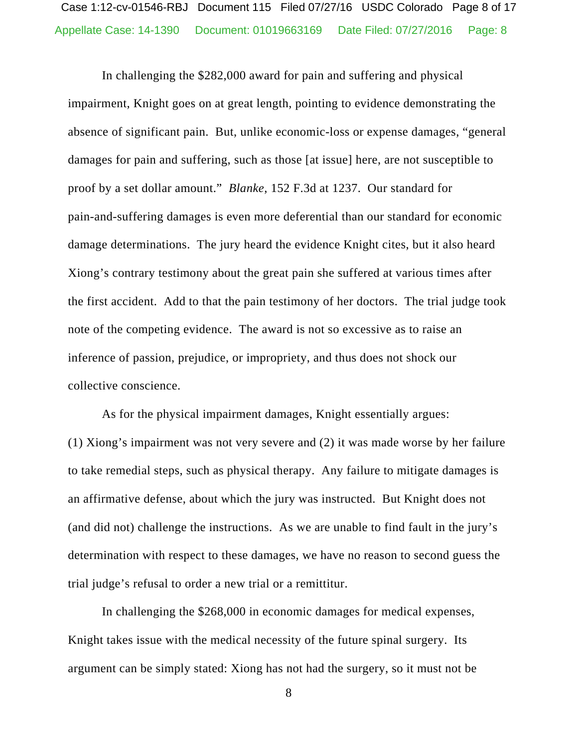In challenging the \$282,000 award for pain and suffering and physical impairment, Knight goes on at great length, pointing to evidence demonstrating the absence of significant pain. But, unlike economic-loss or expense damages, "general damages for pain and suffering, such as those [at issue] here, are not susceptible to proof by a set dollar amount." *Blanke*, 152 F.3d at 1237. Our standard for pain-and-suffering damages is even more deferential than our standard for economic damage determinations. The jury heard the evidence Knight cites, but it also heard Xiong's contrary testimony about the great pain she suffered at various times after the first accident. Add to that the pain testimony of her doctors. The trial judge took note of the competing evidence. The award is not so excessive as to raise an inference of passion, prejudice, or impropriety, and thus does not shock our collective conscience.

As for the physical impairment damages, Knight essentially argues: (1) Xiong's impairment was not very severe and (2) it was made worse by her failure to take remedial steps, such as physical therapy. Any failure to mitigate damages is an affirmative defense, about which the jury was instructed. But Knight does not (and did not) challenge the instructions. As we are unable to find fault in the jury's determination with respect to these damages, we have no reason to second guess the trial judge's refusal to order a new trial or a remittitur.

In challenging the \$268,000 in economic damages for medical expenses, Knight takes issue with the medical necessity of the future spinal surgery. Its argument can be simply stated: Xiong has not had the surgery, so it must not be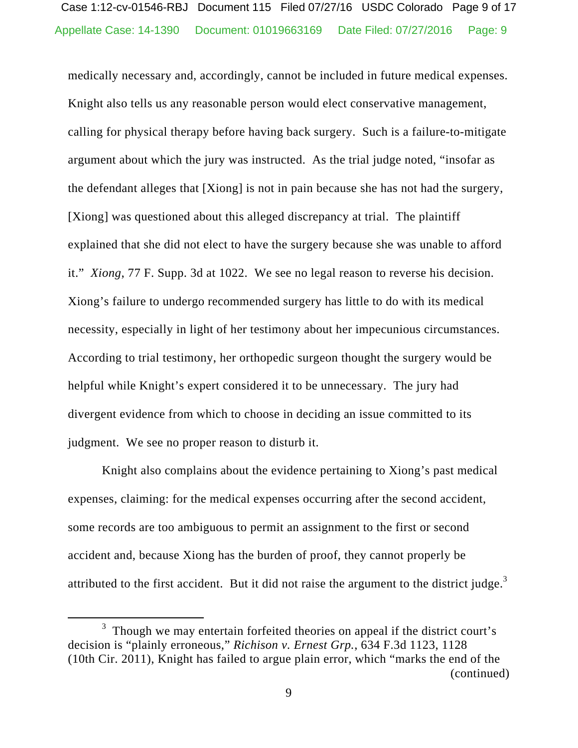medically necessary and, accordingly, cannot be included in future medical expenses. Knight also tells us any reasonable person would elect conservative management, calling for physical therapy before having back surgery. Such is a failure-to-mitigate argument about which the jury was instructed. As the trial judge noted, "insofar as the defendant alleges that [Xiong] is not in pain because she has not had the surgery, [Xiong] was questioned about this alleged discrepancy at trial. The plaintiff explained that she did not elect to have the surgery because she was unable to afford it." *Xiong*, 77 F. Supp. 3d at 1022. We see no legal reason to reverse his decision. Xiong's failure to undergo recommended surgery has little to do with its medical necessity, especially in light of her testimony about her impecunious circumstances. According to trial testimony, her orthopedic surgeon thought the surgery would be helpful while Knight's expert considered it to be unnecessary. The jury had divergent evidence from which to choose in deciding an issue committed to its judgment. We see no proper reason to disturb it.

Knight also complains about the evidence pertaining to Xiong's past medical expenses, claiming: for the medical expenses occurring after the second accident, some records are too ambiguous to permit an assignment to the first or second accident and, because Xiong has the burden of proof, they cannot properly be attributed to the first accident. But it did not raise the argument to the district judge.<sup>3</sup>

 $\frac{1}{3}$  $3$  Though we may entertain forfeited theories on appeal if the district court's decision is "plainly erroneous," *Richison v. Ernest Grp.*, 634 F.3d 1123, 1128 (10th Cir. 2011), Knight has failed to argue plain error, which "marks the end of the (continued)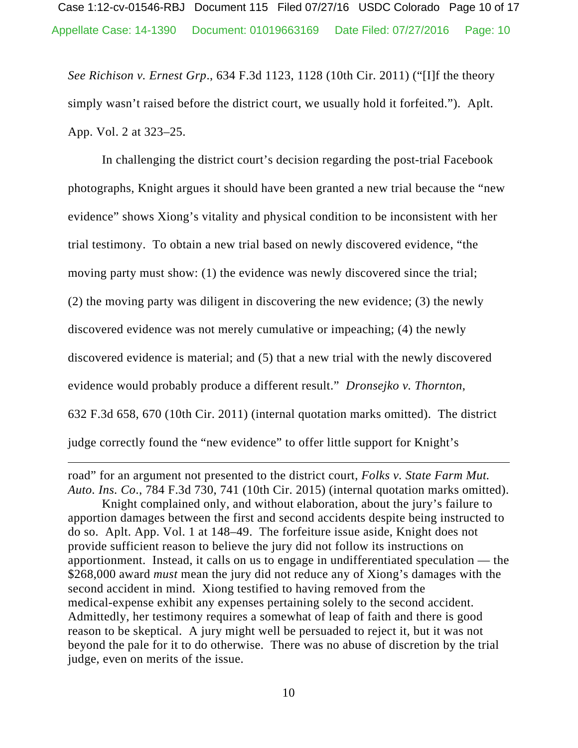*See Richison v. Ernest Grp*., 634 F.3d 1123, 1128 (10th Cir. 2011) ("[I]f the theory simply wasn't raised before the district court, we usually hold it forfeited."). Aplt. App. Vol. 2 at 323–25.

In challenging the district court's decision regarding the post-trial Facebook photographs, Knight argues it should have been granted a new trial because the "new evidence" shows Xiong's vitality and physical condition to be inconsistent with her trial testimony. To obtain a new trial based on newly discovered evidence, "the moving party must show: (1) the evidence was newly discovered since the trial; (2) the moving party was diligent in discovering the new evidence; (3) the newly discovered evidence was not merely cumulative or impeaching; (4) the newly discovered evidence is material; and (5) that a new trial with the newly discovered evidence would probably produce a different result." *Dronsejko v. Thornton*, 632 F.3d 658, 670 (10th Cir. 2011) (internal quotation marks omitted). The district judge correctly found the "new evidence" to offer little support for Knight's

road" for an argument not presented to the district court, *Folks v. State Farm Mut. Auto. Ins. Co*., 784 F.3d 730, 741 (10th Cir. 2015) (internal quotation marks omitted).

Knight complained only, and without elaboration, about the jury's failure to apportion damages between the first and second accidents despite being instructed to do so. Aplt. App. Vol. 1 at 148–49. The forfeiture issue aside, Knight does not provide sufficient reason to believe the jury did not follow its instructions on apportionment. Instead, it calls on us to engage in undifferentiated speculation — the \$268,000 award *must* mean the jury did not reduce any of Xiong's damages with the second accident in mind. Xiong testified to having removed from the medical-expense exhibit any expenses pertaining solely to the second accident. Admittedly, her testimony requires a somewhat of leap of faith and there is good reason to be skeptical. A jury might well be persuaded to reject it, but it was not beyond the pale for it to do otherwise. There was no abuse of discretion by the trial judge, even on merits of the issue.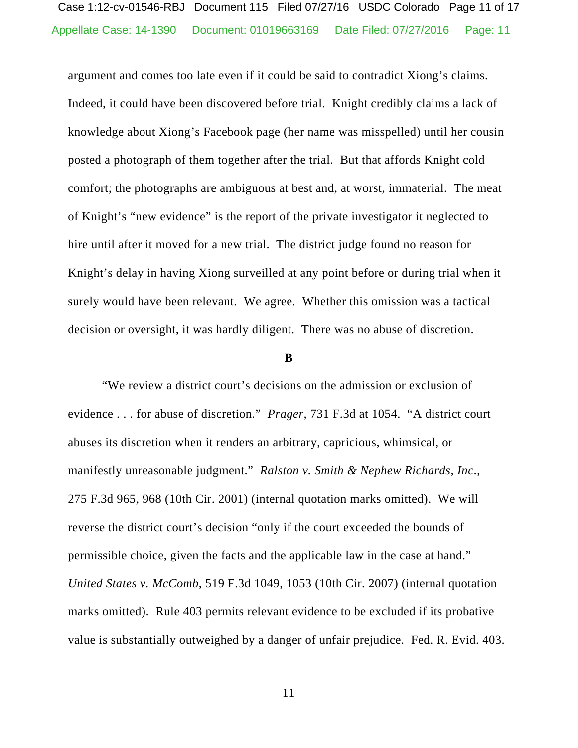argument and comes too late even if it could be said to contradict Xiong's claims. Indeed, it could have been discovered before trial. Knight credibly claims a lack of knowledge about Xiong's Facebook page (her name was misspelled) until her cousin posted a photograph of them together after the trial. But that affords Knight cold comfort; the photographs are ambiguous at best and, at worst, immaterial. The meat of Knight's "new evidence" is the report of the private investigator it neglected to hire until after it moved for a new trial. The district judge found no reason for Knight's delay in having Xiong surveilled at any point before or during trial when it surely would have been relevant. We agree. Whether this omission was a tactical decision or oversight, it was hardly diligent. There was no abuse of discretion.

#### **B**

"We review a district court's decisions on the admission or exclusion of evidence . . . for abuse of discretion." *Prager*, 731 F.3d at 1054. "A district court abuses its discretion when it renders an arbitrary, capricious, whimsical, or manifestly unreasonable judgment." *Ralston v. Smith & Nephew Richards, Inc*., 275 F.3d 965, 968 (10th Cir. 2001) (internal quotation marks omitted). We will reverse the district court's decision "only if the court exceeded the bounds of permissible choice, given the facts and the applicable law in the case at hand." *United States v. McComb*, 519 F.3d 1049, 1053 (10th Cir. 2007) (internal quotation marks omitted). Rule 403 permits relevant evidence to be excluded if its probative value is substantially outweighed by a danger of unfair prejudice. Fed. R. Evid. 403.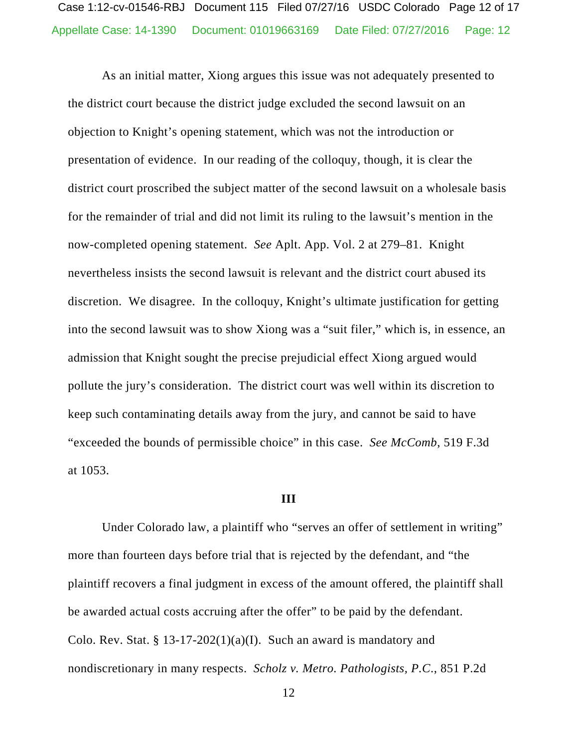As an initial matter, Xiong argues this issue was not adequately presented to the district court because the district judge excluded the second lawsuit on an objection to Knight's opening statement, which was not the introduction or presentation of evidence. In our reading of the colloquy, though, it is clear the district court proscribed the subject matter of the second lawsuit on a wholesale basis for the remainder of trial and did not limit its ruling to the lawsuit's mention in the now-completed opening statement. *See* Aplt. App. Vol. 2 at 279–81. Knight nevertheless insists the second lawsuit is relevant and the district court abused its discretion. We disagree. In the colloquy, Knight's ultimate justification for getting into the second lawsuit was to show Xiong was a "suit filer," which is, in essence, an admission that Knight sought the precise prejudicial effect Xiong argued would pollute the jury's consideration. The district court was well within its discretion to keep such contaminating details away from the jury, and cannot be said to have "exceeded the bounds of permissible choice" in this case. *See McComb*, 519 F.3d at 1053.

#### **III**

 Under Colorado law, a plaintiff who "serves an offer of settlement in writing" more than fourteen days before trial that is rejected by the defendant, and "the plaintiff recovers a final judgment in excess of the amount offered, the plaintiff shall be awarded actual costs accruing after the offer" to be paid by the defendant. Colo. Rev. Stat. § 13-17-202(1)(a)(I). Such an award is mandatory and nondiscretionary in many respects. *Scholz v. Metro. Pathologists, P.C*., 851 P.2d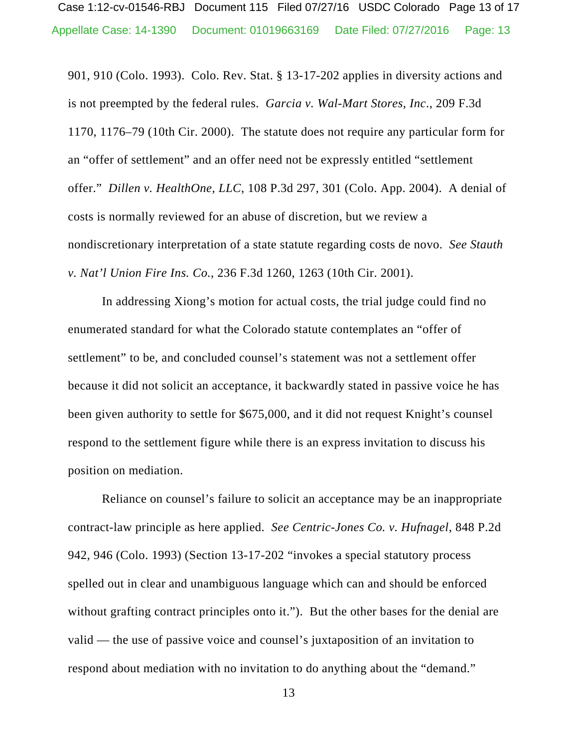Appellate Case: 14-1390 Document: 01019663169 Date Filed: 07/27/2016 Page: 13 Case 1:12-cv-01546-RBJ Document 115 Filed 07/27/16 USDC Colorado Page 13 of 17

901, 910 (Colo. 1993). Colo. Rev. Stat. § 13-17-202 applies in diversity actions and is not preempted by the federal rules. *Garcia v. Wal-Mart Stores, Inc*., 209 F.3d 1170, 1176–79 (10th Cir. 2000). The statute does not require any particular form for an "offer of settlement" and an offer need not be expressly entitled "settlement offer." *Dillen v. HealthOne, LLC*, 108 P.3d 297, 301 (Colo. App. 2004). A denial of costs is normally reviewed for an abuse of discretion, but we review a nondiscretionary interpretation of a state statute regarding costs de novo. *See Stauth v. Nat'l Union Fire Ins. Co.*, 236 F.3d 1260, 1263 (10th Cir. 2001).

 In addressing Xiong's motion for actual costs, the trial judge could find no enumerated standard for what the Colorado statute contemplates an "offer of settlement" to be, and concluded counsel's statement was not a settlement offer because it did not solicit an acceptance, it backwardly stated in passive voice he has been given authority to settle for \$675,000, and it did not request Knight's counsel respond to the settlement figure while there is an express invitation to discuss his position on mediation.

Reliance on counsel's failure to solicit an acceptance may be an inappropriate contract-law principle as here applied. *See Centric-Jones Co. v. Hufnagel*, 848 P.2d 942, 946 (Colo. 1993) (Section 13-17-202 "invokes a special statutory process spelled out in clear and unambiguous language which can and should be enforced without grafting contract principles onto it."). But the other bases for the denial are valid — the use of passive voice and counsel's juxtaposition of an invitation to respond about mediation with no invitation to do anything about the "demand."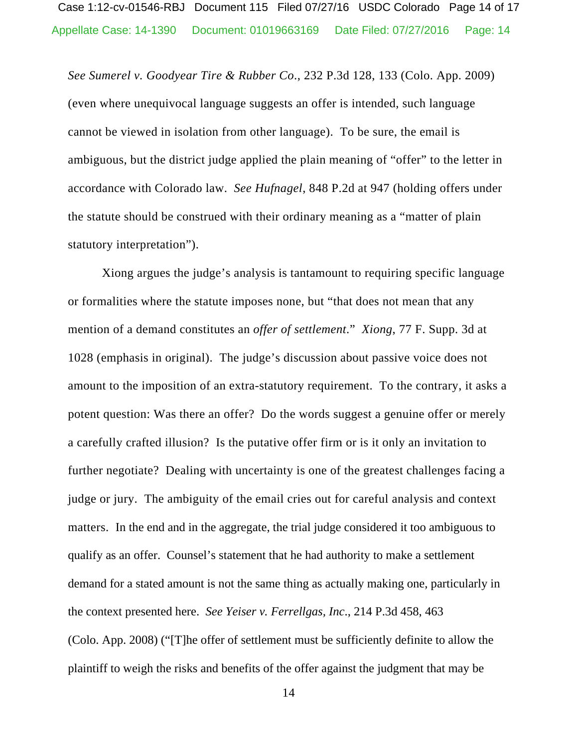*See Sumerel v. Goodyear Tire & Rubber Co*., 232 P.3d 128, 133 (Colo. App. 2009) (even where unequivocal language suggests an offer is intended, such language cannot be viewed in isolation from other language). To be sure, the email is ambiguous, but the district judge applied the plain meaning of "offer" to the letter in accordance with Colorado law. *See Hufnagel*, 848 P.2d at 947 (holding offers under the statute should be construed with their ordinary meaning as a "matter of plain statutory interpretation").

Xiong argues the judge's analysis is tantamount to requiring specific language or formalities where the statute imposes none, but "that does not mean that any mention of a demand constitutes an *offer of settlement*." *Xiong*, 77 F. Supp. 3d at 1028 (emphasis in original). The judge's discussion about passive voice does not amount to the imposition of an extra-statutory requirement. To the contrary, it asks a potent question: Was there an offer? Do the words suggest a genuine offer or merely a carefully crafted illusion? Is the putative offer firm or is it only an invitation to further negotiate? Dealing with uncertainty is one of the greatest challenges facing a judge or jury. The ambiguity of the email cries out for careful analysis and context matters. In the end and in the aggregate, the trial judge considered it too ambiguous to qualify as an offer. Counsel's statement that he had authority to make a settlement demand for a stated amount is not the same thing as actually making one, particularly in the context presented here. *See Yeiser v. Ferrellgas, Inc*., 214 P.3d 458, 463 (Colo. App. 2008) ("[T]he offer of settlement must be sufficiently definite to allow the plaintiff to weigh the risks and benefits of the offer against the judgment that may be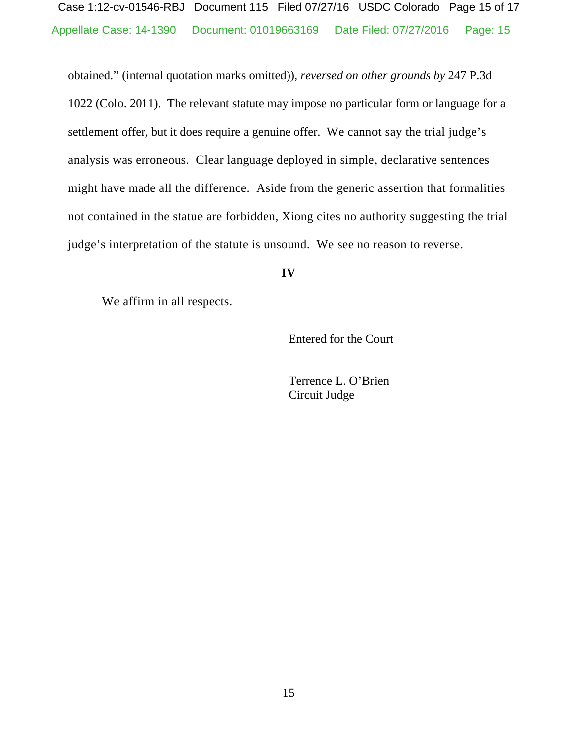Appellate Case: 14-1390 Document: 01019663169 Date Filed: 07/27/2016 Page: 15 Case 1:12-cv-01546-RBJ Document 115 Filed 07/27/16 USDC Colorado Page 15 of 17

obtained." (internal quotation marks omitted)), *reversed on other grounds by* 247 P.3d 1022 (Colo. 2011). The relevant statute may impose no particular form or language for a settlement offer, but it does require a genuine offer. We cannot say the trial judge's analysis was erroneous. Clear language deployed in simple, declarative sentences might have made all the difference. Aside from the generic assertion that formalities not contained in the statue are forbidden, Xiong cites no authority suggesting the trial judge's interpretation of the statute is unsound. We see no reason to reverse.

#### **IV**

We affirm in all respects.

Entered for the Court

Terrence L. O'Brien Circuit Judge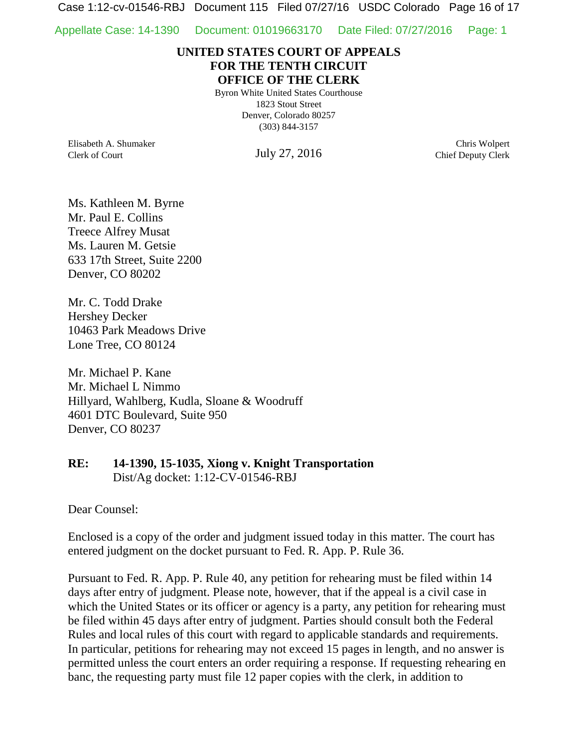Case 1:12-cv-01546-RBJ Document 115 Filed 07/27/16 USDC Colorado Page 16 of 17

Appellate Case: 14-1390 Document: 01019663170 Date Filed: 07/27/2016 Page: 1

## **UNITED STATES COURT OF APPEALS FOR THE TENTH CIRCUIT OFFICE OF THE CLERK**

Byron White United States Courthouse 1823 Stout Street Denver, Colorado 80257 (303) 844-3157

Elisabeth A. Shumaker Clerk of Court

July 27, 2016

Chris Wolpert Chief Deputy Clerk

Ms. Kathleen M. Byrne Mr. Paul E. Collins Treece Alfrey Musat Ms. Lauren M. Getsie 633 17th Street, Suite 2200 Denver, CO 80202

Mr. C. Todd Drake Hershey Decker 10463 Park Meadows Drive Lone Tree, CO 80124

Mr. Michael P. Kane Mr. Michael L Nimmo Hillyard, Wahlberg, Kudla, Sloane & Woodruff 4601 DTC Boulevard, Suite 950 Denver, CO 80237

# **RE: 14-1390, 15-1035, Xiong v. Knight Transportation** Dist/Ag docket: 1:12-CV-01546-RBJ

Dear Counsel:

Enclosed is a copy of the order and judgment issued today in this matter. The court has entered judgment on the docket pursuant to Fed. R. App. P. Rule 36.

Pursuant to Fed. R. App. P. Rule 40, any petition for rehearing must be filed within 14 days after entry of judgment. Please note, however, that if the appeal is a civil case in which the United States or its officer or agency is a party, any petition for rehearing must be filed within 45 days after entry of judgment. Parties should consult both the Federal Rules and local rules of this court with regard to applicable standards and requirements. In particular, petitions for rehearing may not exceed 15 pages in length, and no answer is permitted unless the court enters an order requiring a response. If requesting rehearing en banc, the requesting party must file 12 paper copies with the clerk, in addition to